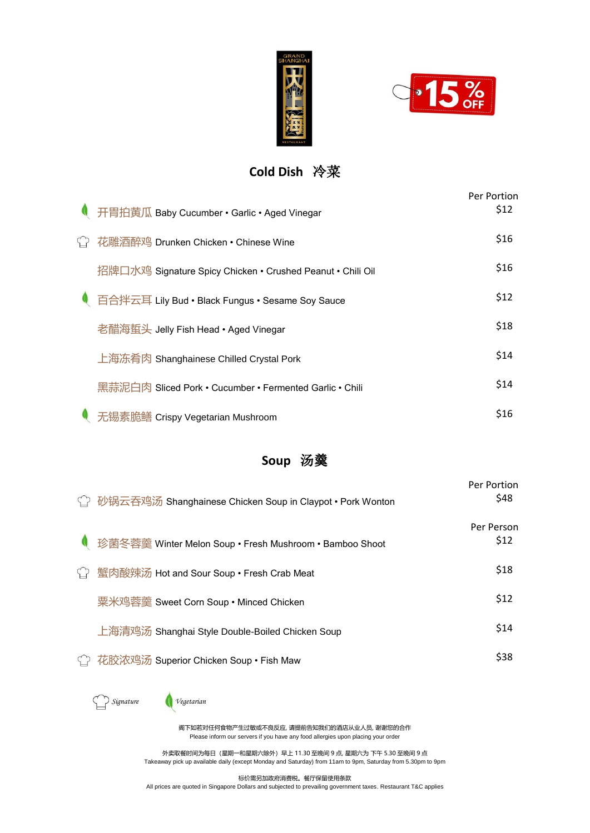



# **Cold Dish** 冷菜

|                   | ● 开胃拍黄瓜 Baby Cucumber • Garlic • Aged Vinegar              | Per Portion<br>\$12 |
|-------------------|------------------------------------------------------------|---------------------|
| $\curvearrowleft$ | 花雕酒醉鸡 Drunken Chicken • Chinese Wine                       | \$16                |
|                   | 招牌口水鸡 Signature Spicy Chicken • Crushed Peanut • Chili Oil | \$16                |
|                   | ● 百合拌云耳 Lily Bud • Black Fungus • Sesame Soy Sauce         | \$12                |
|                   | 老醋海蜇头 Jelly Fish Head • Aged Vinegar                       | \$18                |
|                   | 上海冻肴肉 Shanghainese Chilled Crystal Pork                    | \$14                |
|                   | 黑蒜泥白肉 Sliced Pork • Cucumber • Fermented Garlic • Chili    | \$14                |
|                   | 无锡素脆鳝 Crispy Vegetarian Mushroom                           | \$16                |

#### **Soup** 汤羹

| <mark>♦</mark> 砂锅云吞鸡汤 Shanghainese Chicken Soup in Claypot • Pork Wonton | Per Portion<br>\$48 |
|--------------------------------------------------------------------------|---------------------|
| 珍菌冬蓉羹 Winter Melon Soup • Fresh Mushroom • Bamboo Shoot                  | Per Person<br>\$12  |
| <sup>门</sup> 蟹肉酸辣汤 Hot and Sour Soup • Fresh Crab Meat                   | \$18                |
| 粟米鸡蓉羹 Sweet Corn Soup • Minced Chicken                                   | \$12                |
| 上海清鸡汤 Shanghai Style Double-Boiled Chicken Soup                          | \$14                |
| 花胶浓鸡汤 Superior Chicken Soup • Fish Maw                                   | \$38                |



阁下如若对任何食物产生过敏或不良反应, 请提前告知我们的酒店从业人员, 谢谢您的合作 Please inform our servers if you have any food allergies upon placing your order

外卖取餐时间为每日(星期一和星期六除外)早上 11.30 至晚间 9 点, 星期六为 下午 5.30 至晚间 9 点 Takeaway pick up available daily (except Monday and Saturday) from 11am to 9pm, Saturday from 5.30pm to 9pm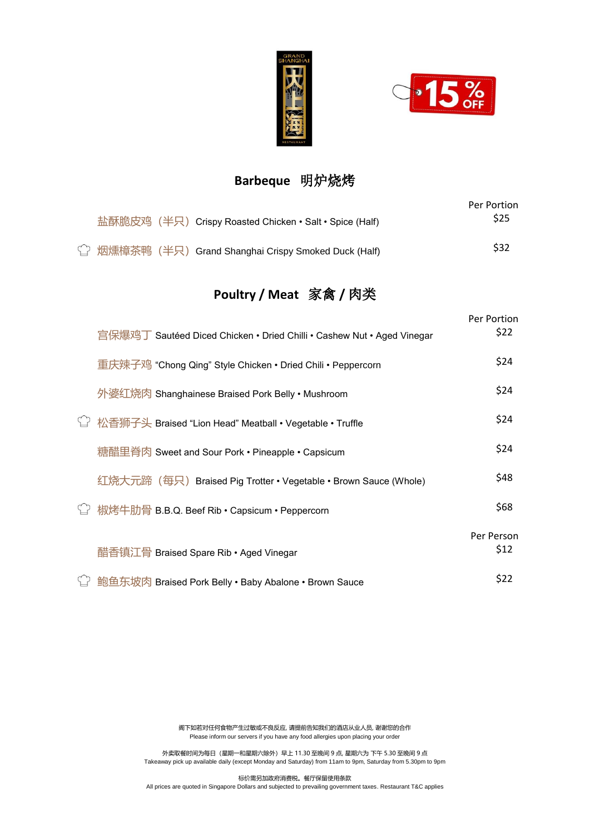



#### **Barbeque** 明炉烧烤

|  | 盐酥脆皮鸡(半只)Crispy Roasted Chicken • Salt • Spice (Half)            | Per Portion<br>S <sub>25</sub> |
|--|------------------------------------------------------------------|--------------------------------|
|  | <sup>1</sup> 烟燻樟茶鸭 (半只) Grand Shanghai Crispy Smoked Duck (Half) | \$32                           |

# **Poultry / Meat** 家禽 **/** 肉类

| 宫保爆鸡丁 Sautéed Diced Chicken • Dried Chilli • Cashew Nut • Aged Vinegar | Per Portion<br>\$22 |
|------------------------------------------------------------------------|---------------------|
| 重庆辣子鸡 "Chong Qing" Style Chicken • Dried Chili • Peppercorn            | \$24                |
| 外婆红烧肉 Shanghainese Braised Pork Belly • Mushroom                       | \$24                |
| 松香狮子头 Braised "Lion Head" Meatball • Vegetable • Truffle               | \$24                |
| 糖醋里脊肉 Sweet and Sour Pork • Pineapple • Capsicum                       | \$24                |
| 红烧大元蹄(每只)Braised Pig Trotter • Vegetable • Brown Sauce (Whole)         | \$48                |
| └ 椒烤牛肋骨 B.B.Q. Beef Rib • Capsicum • Peppercorn                        | \$68                |
| 醋香镇江骨 Braised Spare Rib • Aged Vinegar                                 | Per Person<br>\$12  |
| 鲍鱼东坡肉 Braised Pork Belly • Baby Abalone • Brown Sauce                  | \$22                |

阁下如若对任何食物产生过敏或不良反应, 请提前告知我们的酒店从业人员, 谢谢您的合作 Please inform our servers if you have any food allergies upon placing your order

外卖取餐时间为每日(星期一和星期六除外)早上 11.30 至晚间 9 点, 星期六为 下午 5.30 至晚间 9 点 Takeaway pick up available daily (except Monday and Saturday) from 11am to 9pm, Saturday from 5.30pm to 9pm

标价需另加政府消费税。餐厅保留使用条款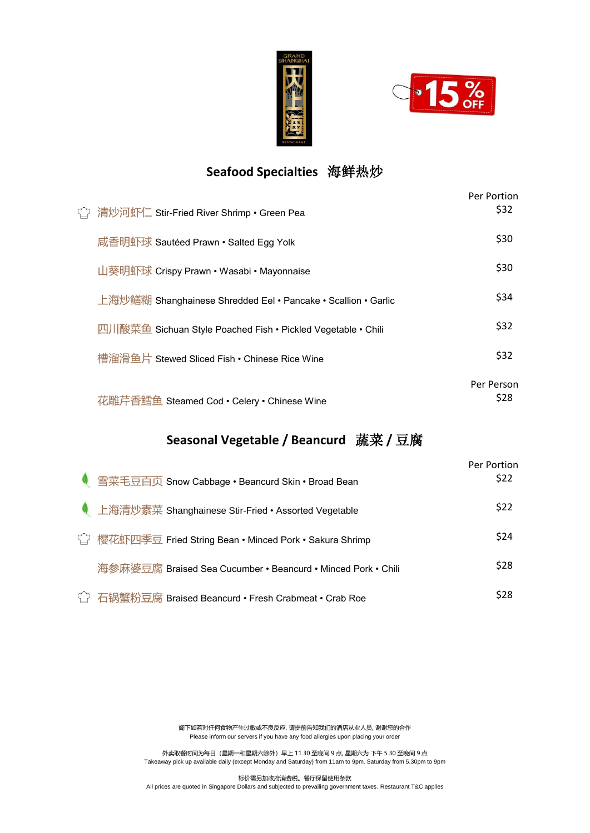



### **Seafood Specialties** 海鲜热炒

| ○ 清炒河虾仁 Stir-Fried River Shrimp • Green Pea                   | Per Portion<br>\$32 |
|---------------------------------------------------------------|---------------------|
| 咸香明虾球 Sautéed Prawn • Salted Egg Yolk                         | \$30                |
| 山葵明虾球 Crispy Prawn • Wasabi • Mayonnaise                      | \$30                |
| 上海炒鳝糊 Shanghainese Shredded Eel • Pancake • Scallion • Garlic | \$34                |
| 四川酸菜鱼 Sichuan Style Poached Fish • Pickled Vegetable • Chili  | \$32                |
| 槽溜滑鱼片 Stewed Sliced Fish • Chinese Rice Wine                  | \$32                |
| 花雕芹香鳕鱼 Steamed Cod • Celery • Chinese Wine                    | Per Person<br>\$28  |

#### **Seasonal Vegetable / Beancurd** 蔬菜 **/** 豆腐

| <u> ● 雪菜毛豆百页</u> Snow Cabbage • Beancurd Skin • Broad Bean             | Per Portion<br>\$22 |
|------------------------------------------------------------------------|---------------------|
| <b>Ⅰ</b> 上海清炒素菜 Shanghainese Stir-Fried • Assorted Vegetable           | \$22                |
| <mark>◯ 樱花虾四季豆 Fried String Bean • Minced Pork • Sakura Shrimp</mark>  | \$24                |
| 海参麻婆豆腐 Braised Sea Cucumber • Beancurd • Minced Pork • Chili           | \$28                |
| <mark>└</mark> ॒   石锅蟹粉豆腐 Braised Beancurd • Fresh Crabmeat • Crab Roe | \$28                |

阁下如若对任何食物产生过敏或不良反应, 请提前告知我们的酒店从业人员, 谢谢您的合作 Please inform our servers if you have any food allergies upon placing your order

外卖取餐时间为每日(星期一和星期六除外)早上 11.30 至晚间 9 点, 星期六为 下午 5.30 至晚间 9 点 Takeaway pick up available daily (except Monday and Saturday) from 11am to 9pm, Saturday from 5.30pm to 9pm

标价需另加政府消费税。餐厅保留使用条款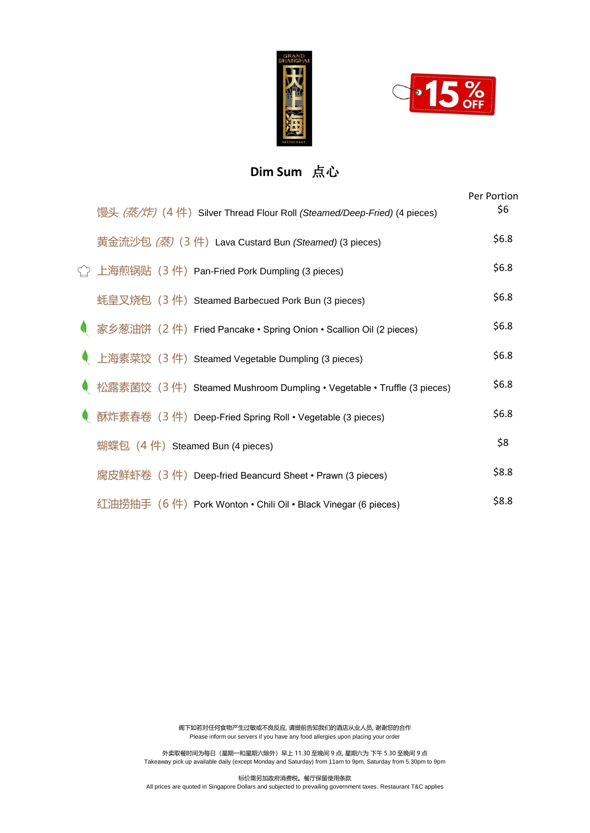



### **Dim Sum** 点心

| 馒头 (蒸/炸) (4 件) Silver Thread Flour Roll (Steamed/Deep-Fried) (4 pieces) | Per Portion<br>\$6 |
|-------------------------------------------------------------------------|--------------------|
| 黄金流沙包 (蒸) (3 件) Lava Custard Bun (Steamed) (3 pieces)                   | \$6.8\$            |
| └ 上海煎锅贴(3 件)Pan-Fried Pork Dumpling (3 pieces)                          | \$6.8\$            |
| 蚝皇叉烧包 (3 件) Steamed Barbecued Pork Bun (3 pieces)                       | \$6.8\$            |
| ● 家乡葱油饼 (2件) Fried Pancake • Spring Onion • Scallion Oil (2 pieces)     | \$6.8              |
| 上海素菜饺 (3 件) Steamed Vegetable Dumpling (3 pieces)                       | \$6.8\$            |
| 松露素菌饺 (3件) Steamed Mushroom Dumpling • Vegetable • Truffle (3 pieces)   | \$6.8              |
| 酥炸素春卷 (3 件) Deep-Fried Spring Roll • Vegetable (3 pieces)               | \$6.8              |
| 蝴蝶包 (4 件) Steamed Bun (4 pieces)                                        | \$8                |
| 腐皮鲜虾卷 (3 件) Deep-fried Beancurd Sheet • Prawn (3 pieces)                | \$8.8              |
| 红油捞抽手(6 件)Pork Wonton • Chili Oil • Black Vinegar (6 pieces)            | \$8.8              |

阁下如若对任何食物产生过敏或不良反应, 请提前告知我们的酒店从业人员, 谢谢您的合作 Please inform our servers if you have any food allergies upon placing your order

外卖取餐时间为每日(星期一和星期六除外)早上 11.30 至晚间 9 点, 星期六为 下午 5.30 至晚间 9 点 Takeaway pick up available daily (except Monday and Saturday) from 11am to 9pm, Saturday from 5.30pm to 9pm

标价需另加政府消费税。餐厅保留使用条款